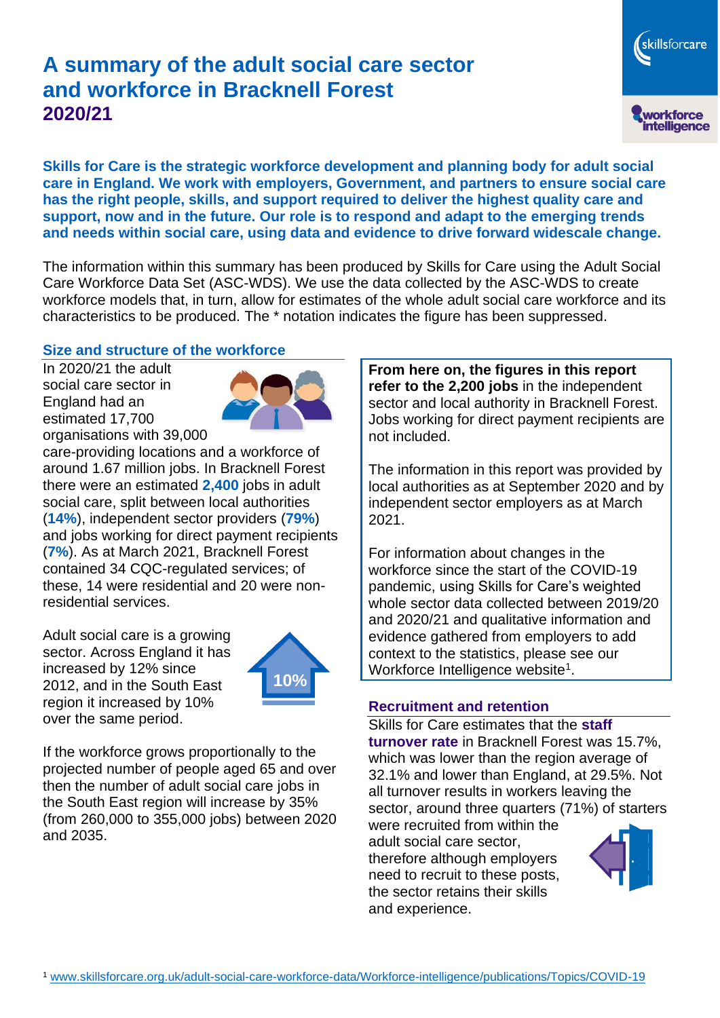# **A summary of the adult social care sector and workforce in Bracknell Forest 2020/21**

skillsforcare workforce<br>intelligence

**Skills for Care is the strategic workforce development and planning body for adult social care in England. We work with employers, Government, and partners to ensure social care has the right people, skills, and support required to deliver the highest quality care and support, now and in the future. Our role is to respond and adapt to the emerging trends and needs within social care, using data and evidence to drive forward widescale change.**

The information within this summary has been produced by Skills for Care using the Adult Social Care Workforce Data Set (ASC-WDS). We use the data collected by the ASC-WDS to create workforce models that, in turn, allow for estimates of the whole adult social care workforce and its characteristics to be produced. The \* notation indicates the figure has been suppressed.

### **Size and structure of the workforce**

In 2020/21 the adult social care sector in England had an estimated 17,700 organisations with 39,000



care-providing locations and a workforce of around 1.67 million jobs. In Bracknell Forest there were an estimated **2,400** jobs in adult social care, split between local authorities (**14%**), independent sector providers (**79%**) and jobs working for direct payment recipients (**7%**). As at March 2021, Bracknell Forest contained 34 CQC-regulated services; of these, 14 were residential and 20 were nonresidential services.

Adult social care is a growing sector. Across England it has increased by 12% since 2012, and in the South East region it increased by 10% over the same period.



If the workforce grows proportionally to the projected number of people aged 65 and over then the number of adult social care jobs in the South East region will increase by 35% (from 260,000 to 355,000 jobs) between 2020 and 2035.

**From here on, the figures in this report refer to the 2,200 jobs** in the independent sector and local authority in Bracknell Forest. Jobs working for direct payment recipients are not included.

The information in this report was provided by local authorities as at September 2020 and by independent sector employers as at March 2021.

For information about changes in the workforce since the start of the COVID-19 pandemic, using Skills for Care's weighted whole sector data collected between 2019/20 and 2020/21 and qualitative information and evidence gathered from employers to add context to the statistics, please see our Workforce Intelligence website<sup>1</sup>.

#### **Recruitment and retention**

Skills for Care estimates that the **staff turnover rate** in Bracknell Forest was 15.7%, which was lower than the region average of 32.1% and lower than England, at 29.5%. Not all turnover results in workers leaving the sector, around three quarters (71%) of starters

were recruited from within the adult social care sector, therefore although employers need to recruit to these posts, the sector retains their skills and experience.

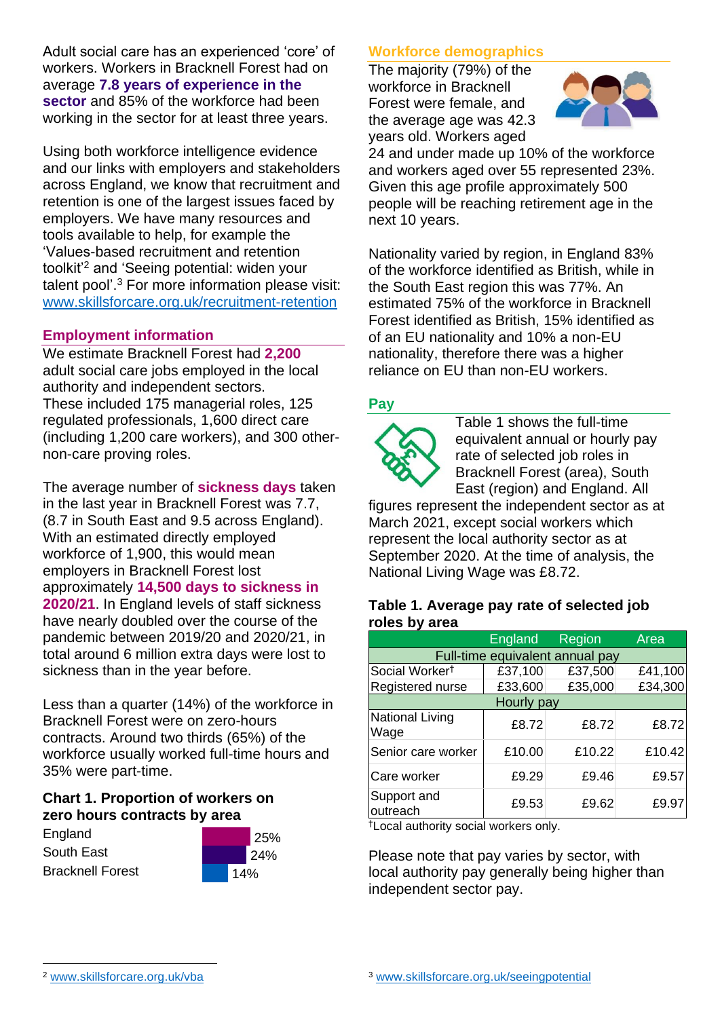Adult social care has an experienced 'core' of workers. Workers in Bracknell Forest had on average **7.8 years of experience in the sector** and 85% of the workforce had been working in the sector for at least three years.

Using both workforce intelligence evidence and our links with employers and stakeholders across England, we know that recruitment and retention is one of the largest issues faced by employers. We have many resources and tools available to help, for example the 'Values-based recruitment and retention toolkit'<sup>2</sup> and 'Seeing potential: widen your talent pool'. <sup>3</sup> For more information please visit: [www.skillsforcare.org.uk/recruitment-retention](http://www.skillsforcare.org.uk/recruitment-retention)

### **Employment information**

We estimate Bracknell Forest had **2,200** adult social care jobs employed in the local authority and independent sectors. These included 175 managerial roles, 125 regulated professionals, 1,600 direct care (including 1,200 care workers), and 300 othernon-care proving roles.

The average number of **sickness days** taken in the last year in Bracknell Forest was 7.7, (8.7 in South East and 9.5 across England). With an estimated directly employed workforce of 1,900, this would mean employers in Bracknell Forest lost approximately **14,500 days to sickness in 2020/21**. In England levels of staff sickness have nearly doubled over the course of the pandemic between 2019/20 and 2020/21, in total around 6 million extra days were lost to sickness than in the year before.

Less than a quarter (14%) of the workforce in Bracknell Forest were on zero-hours contracts. Around two thirds (65%) of the workforce usually worked full-time hours and 35% were part-time.

### **Chart 1. Proportion of workers on zero hours contracts by area**

England South East Bracknell Forest



### **Workforce demographics**

The majority (79%) of the workforce in Bracknell Forest were female, and the average age was 42.3 years old. Workers aged



24 and under made up 10% of the workforce and workers aged over 55 represented 23%. Given this age profile approximately 500 people will be reaching retirement age in the next 10 years.

Nationality varied by region, in England 83% of the workforce identified as British, while in the South East region this was 77%. An estimated 75% of the workforce in Bracknell Forest identified as British, 15% identified as of an EU nationality and 10% a non-EU nationality, therefore there was a higher reliance on EU than non-EU workers.

### **Pay**



Table 1 shows the full-time equivalent annual or hourly pay rate of selected job roles in Bracknell Forest (area), South East (region) and England. All

figures represent the independent sector as at March 2021, except social workers which represent the local authority sector as at September 2020. At the time of analysis, the National Living Wage was £8.72.

#### **Table 1. Average pay rate of selected job roles by area**

|                                 | <b>England</b> | Region  | Area    |
|---------------------------------|----------------|---------|---------|
| Full-time equivalent annual pay |                |         |         |
| Social Worker <sup>t</sup>      | £37,100        | £37,500 | £41,100 |
| Registered nurse                | £33,600        | £35,000 | £34,300 |
| Hourly pay                      |                |         |         |
| National Living<br>Wage         | £8.72          | £8.72   | £8.72   |
| Senior care worker              | £10.00         | £10.22  | £10.42  |
| Care worker                     | £9.29          | £9.46   | £9.57   |
| Support and<br>outreach         | £9.53          | £9.62   | £9.97   |

†Local authority social workers only.

Please note that pay varies by sector, with local authority pay generally being higher than independent sector pay.

[www.skillsforcare.org.uk/vba](http://www.skillsforcare.org.uk/vba)